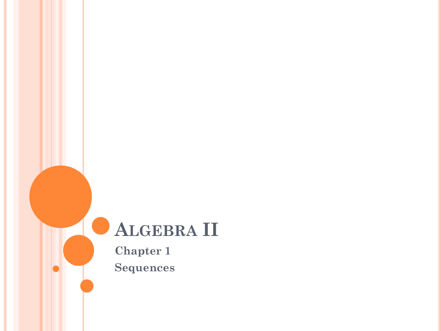# **ALGEBRA II**

**Chapter 1 Sequences**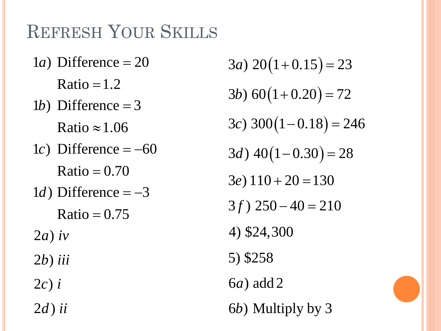## REFRESH YOUR SKILLS

- $1a$ ) Difference = 20  $Ratio = 1.2$
- 1*b*) Difference = 3
	- Ratio  $\approx 1.06$
- $1c$ ) Difference =  $-60$ 
	- $Ratio = 0.70$
- $1d$ ) Difference =  $-3$ 
	- $Ratio = 0.75$
- $2a)$  *iv*
- 2*b*) *iii*
- $2c$ ) *i*
- $2d$ ) *ii*

 $3a) 20(1+0.15) = 23$ 4) \$24,300  $3c)$  300 $(1-0.18) = 246$  $3d)$  40 $(1-0.30) = 28$  $3b) 60(1+0.20) = 72$  $3e$ )  $110 + 20 = 130$  $3f$ )  $250 - 40 = 210$ 5) \$258 6 ) add 2 *a* 6 ) Multiply by 3 *b*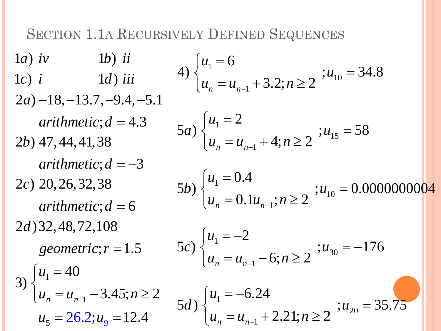#### **SECTION 1.1A RECURSIVELY DEFINED SEQUENCES**

 $1a)$  iv  $1b)$  ii 4)  $\begin{cases} u_1 = 6 \\ u = u_1 + 3.2; n \ge 2 \end{cases}$ ;  $u_{10} = 34.8$  $1d$ ) iii  $1c)$  i  $(2a) -18, -13.7, -9.4, -5.1$ arithmetic;  $d = 4.3$ 5a)  $\begin{cases} u_1 = 2 \\ u = u_1 + 4; n \ge 2 \end{cases}$ ;  $u_{15} = 58$  $2b)$  47, 44, 41, 38  $arithmetic$ ;  $d = -3$ 5b)  $\begin{cases} u_1 = 0.4 \\ u = 0.1u \end{cases}$  :  $n \ge 2$  ;  $u_{10} = 0.00000000004$  $2c)$  20, 26, 32, 38  $arithmetic$ ;  $d = 6$  $2d$ ) 32, 48, 72, 108  $5c$ )  $\begin{cases} u_1 = -2 \\ u_2 = u_2 - 6; n \ge 2 \end{cases}$ ;  $u_{30} = -176$ geometric;  $r = 1.5$ 3)  $\begin{cases} u_1 = 40 \\ u_n = u_{n-1} - 3.45; n \ge 2 \end{cases}$ 5d)  $\begin{cases} u_1 = -6.24 \\ u_n = u_{n-1} + 2.21; n \ge 2 \end{cases}$ ;  $u_{20} = 35.75$  $u_5 = 26.2; u_9 = 12.4$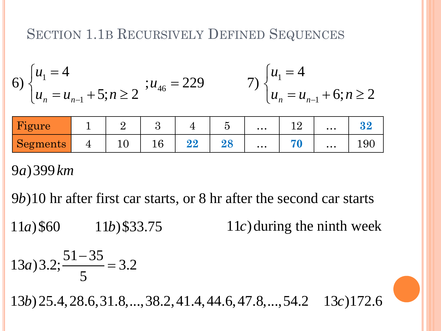#### SECTION 1.1B RECURSIVELY DEFINED SEQUENCES

6) 
$$
\begin{cases} u_1 = 4 \\ u_n = u_{n-1} + 5; n \ge 2 \end{cases}
$$
;  $u_{46} = 229$  7) 
$$
\begin{cases} u_1 = 4 \\ u_n = u_{n-1} + 6; n \ge 2 \end{cases}
$$

| Figure   |    |    |          |    | $\bullet\ \bullet\ \bullet$ | $\bullet\bullet\bullet$                                                   |     |
|----------|----|----|----------|----|-----------------------------|---------------------------------------------------------------------------|-----|
| Segments | ⊥∪ | ⊥∪ | ດດ<br>44 | ◢∪ | $\bullet\,\bullet\,\bullet$ | $\bullet\hspace{0.1cm} \bullet\hspace{0.1cm}\bullet\hspace{0.1cm}\bullet$ | エンワ |

9 )399 *a km*

9*b*)10 hr after first car starts, or 8 hr after the second car starts  $11a$ )\$60  $11b$ )\$33.75  $11c$  during the ninth week  $13a$ )  $3.2; \frac{51-35}{5} = 3.2$ 13*b*) 25.4, 28.6, 31.8, ..., 38.2, 41.4, 44.6, 47.8, ..., 54.2 13*c*) 172.6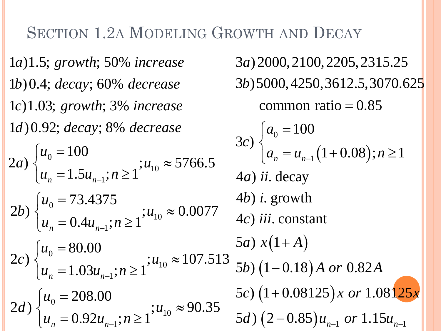#### **SECTION 1.2A MODELING GROWTH AND DECAY**

 $1a)1.5$ ; growth; 50% increase  $1b)0.4$ ; decay; 60% decrease  $1c)1.03$ ; growth; 3% increase 1d) 0.92; decay; 8% decrease  $\begin{cases}\n2a) \begin{cases}\nu_0 = 100 \\
u = 1.5u_0 \text{ in } \geq 1\n\end{cases}; u_{10} \approx 5766.5\n\end{cases}$  $4a)$  ii. decay  $4b$ ) *i*. growth 2b)  $\begin{cases} u_0 = 73.4375 \\ u_n = 0.4u_{n-1}; n \ge 1 \end{cases}$ ;  $u_{10} \approx 0.0077$ 4c) iii. constant 5a)  $x(1+A)$ 2c)  $\begin{cases} u_0 = 80.00 \\ u_n = 1.03u_{n-1}; n \ge 1 \end{cases}$ ;  $u_{10} \approx 107.513$ 2*d*)  $\begin{cases} u_0 = 208.00 \\ u_n = 0.92u_{n-1}; n \ge 1 \end{cases}$ ;  $u_{10} \approx 90.35$ 

3a) 2000, 2100, 2205, 2315.25 3b) 5000, 4250, 3612.5, 3070.625 common ratio =  $0.85$  $3c$ )  $\begin{cases} a_0 = 100 \\ a_n = u_{n-1} (1+0.08); n \ge 1 \end{cases}$ 5b)  $(1-0.18)A$  or 0.82A 5c)  $(1+0.08125)x$  or 1.08125x 5d)  $(2-0.85)u_{n-1}$  or 1.15 $u_{n-1}$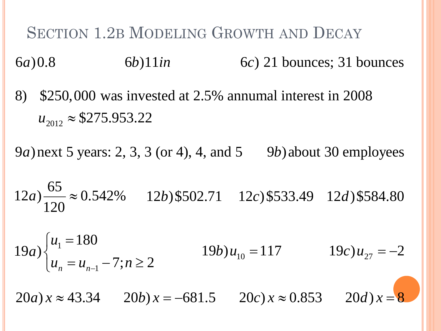**SECTION 1.2B MODELING GROWTH AND DECAY**  $6a)0.8$  $6b)11in$  $6c$ ) 21 bounces; 31 bounces

8) \$250,000 was invested at 2.5% annumal interest in 2008  $u_{2012} \approx $275.953.22$ 

9*a*) next 5 years: 2, 3, 3 (or 4), 4, and 5 9*b*) about 30 employees

 $12a)\frac{65}{120} \approx 0.542\%$   $12b)$ \$502.71  $12c)$ \$533.49  $12d)$ \$584.80

$$
19a) \begin{cases} u_1 = 180 \\ u_n = u_{n-1} - 7; n \ge 2 \end{cases}
$$
  $19b) u_{10} = 117$   $19c) u_{27} = -2$ 

 $20a) x \approx 43.34$   $20b) x = -681.5$   $20c) x \approx 0.853$   $20d) x = 8$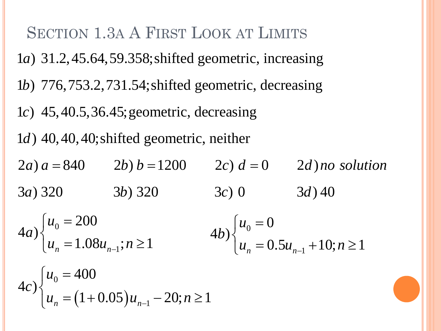**SECTION 1.3A A FIRST LOOK AT LIMITS**  $1a)$  31.2, 45.64, 59.358; shifted geometric, increasing 1b) 776, 753.2, 731.54; shifted geometric, decreasing 1c)  $45,40.5,36.45$ ; geometric, decreasing  $1d)$  40, 40, 40; shifted geometric, neither  $2a) a = 840$   $2b) b = 1200$   $2c) d = 0$   $2d) no solution$  $3c)0$  $3a) 320$   $3b) 320$  $3d)40$  $\left\{ \begin{aligned} u_0 &= 200 \\ u_0 &= 1.08u_{n-1}; n \ge 1 \end{aligned} \right\}$  $(4b)$   $\begin{cases} u_0 = 0 \\ u = 0.5u_{n-1} + 10; n \ge 1 \end{cases}$  $4c$ ) $\begin{cases} u_0 = 400 \\ u_n = (1 + 0.05)u_{n-1} - 20; n \ge 1 \end{cases}$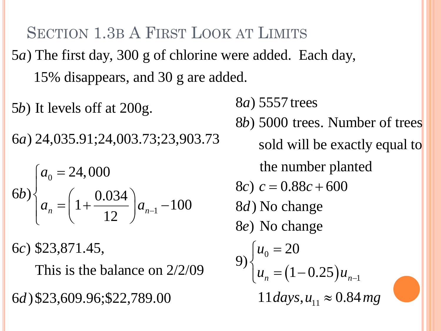SECTION 1.3B A FIRST LOOK AT LIMITS 5*a*) The first day, 300 g of chlorine were added. Each day, 15% disappears, and 30 g are added.

5*b*) It levels off at 200g. 6 ) 24,035.91;24,003.73;23,903.73 *a*

$$
(6b)\n\begin{cases}\na_0 = 24,000 \\
a_n = \left(1 + \frac{0.034}{12}\right)a_{n-1} - 100\n\end{cases}
$$

6c) \$23,871.45,

This is the balance on 2/2/09

6 )\$23,609.96;\$22,789.00 *d*

8 ) 5557 trees *a* 8*b*) 5000 trees. Number of trees sold will be exactly equal to the number planted 8c)  $c = 0.88c + 600$ 8*d*) No change 8e) No change  $(1 - 0.25)$ 0 1  $11 \, days, u_{11} \approx 0.84 \, mg$ 20 9)  $\left\{ u_n = (1 - 0.25) u_n \right\}$ *u*  $u_n = (1 - 0.25) u_{n-1}$  $\left[u_{0}\right]=$  $\left\{ \right.$  $\left\lfloor u_{n}\right\rfloor =\left( 1-\right.$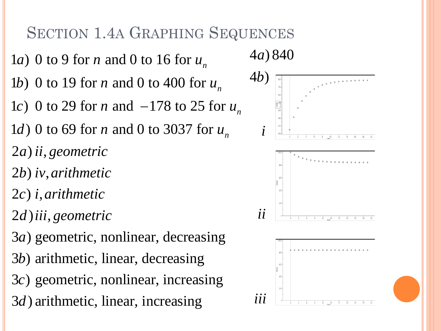## SECTION 1.4A GRAPHING SEQUENCES

*a*) 0 to 9 for *n* and 0 to 16 for  $u_n$ *b*) 0 to 19 for *n* and 0 to 400 for  $u_n$ 1c) 0 to 29 for *n* and  $-178$  to 25 for  $u_{n}$ *d*) 0 to 69 for *n* and 0 to 3037 for  $u_n$ *b*) *iv*, *arithmetic* 2) , *a ii geometric* 2), *c i arithmetic d*) *iii*, geometric *a*) geometric, nonlinear, decreasing *b*) arithmetic, linear, decreasing 3c) geometric, nonlinear, increasing *d*) arithmetic, linear, increasing

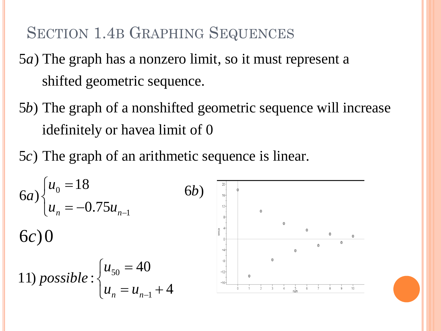## SECTION 1.4B GRAPHING SEQUENCES

- 5*a*) The graph has a nonzero limit, so it must represent a shifted geometric sequence.
- 5*b*) The graph of a nonshifted geometric sequence will increase idefinitely or havea limit of 0
- 5c) The graph of an arithmetic sequence is linear.

$$
6a) \begin{cases} u_0 = 18 \\ u_n = -0.75u_{n-1} \end{cases}
$$
  
6c) 0  
11) *possible* : 
$$
\begin{cases} u_{50} = 40 \\ u_n = u_{n-1} + 4 \end{cases}
$$

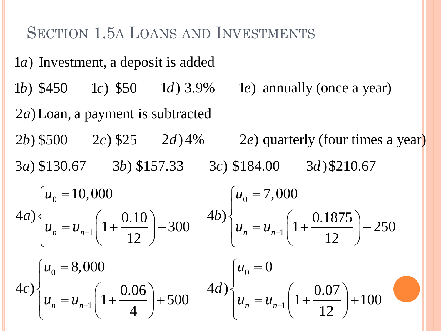#### SECTION 1.5A LOANS AND INVESTMENTS

1*a*) Investment, a deposit is added 1*b*) \$450 *lc*) \$50 *d*) 3.9% *le*) annually (once a year) 2*a*) Loan, a payment is subtracted  $2b)$  \$500  $2c)$  \$25  $2d)$  4%  $2e)$  quarterly (four times a year) 3a) \$130.67 3b) \$157.33 3c) \$184.00 3d) \$210.67 0 1 0  $\left\{ \frac{4d}{u_n} = u_{n-1} \left( 1 + \frac{0.07}{1.2} \right) + 100 \right\}$  $\mu_n - u_{n-1}$  12 *u d*  $u_n = u_{n-1}$  $\left[u_{0}\right]=$  $\overline{\phantom{a}}$  $\left\{ u_n = u_{n-1} \left( 1 + \frac{0.07}{12} \right) + \right\}$ 0 1 8,000  $\left\{ u_n = u_{n-1} \right\} \left( 1 + \frac{0.06}{1} \right) + 500$  $\mu_n - \mu_{n-1}$  1 *u c*  $u_n = u_{n-1}$  $\left[u_{0}\right]=$  $\overline{\phantom{a}}$  $\left\{ u_n = u_{n-1} \left( 1 + \frac{0.06}{4} \right) + \right\}$ 0 1 10,000  $\left\{ u_n = u_{n-1} \right\} \left( 1 + \frac{0.10}{1.2} \right) - 300$  $\sum_{n=1}^n$   $\binom{1}{n}$  12 *u a*  $u_n = u_{n-1}$  $\left\lbrack u_0\right\rbrack$  $\overline{\phantom{a}}$  $\left\{u_n = u_{n-1} \left(1 + \frac{0.10}{12}\right) - \right\}$ 0 1 7,000  $\left\{ \left. u_n = u_{n-1} \right| \left( 1 + \frac{0.1875}{12} \right) - 250 \right\}$  $\sum_{n=1}^{n}$   $\binom{1}{n}$  12 *u b*  $u_n = u_{n-1}$  $\left[u_{0}\right]=$  $\overline{\phantom{a}}$  $\left\{ u_n = u_{n-1} \left( 1 + \frac{0.1875}{12} \right) - \right\}$